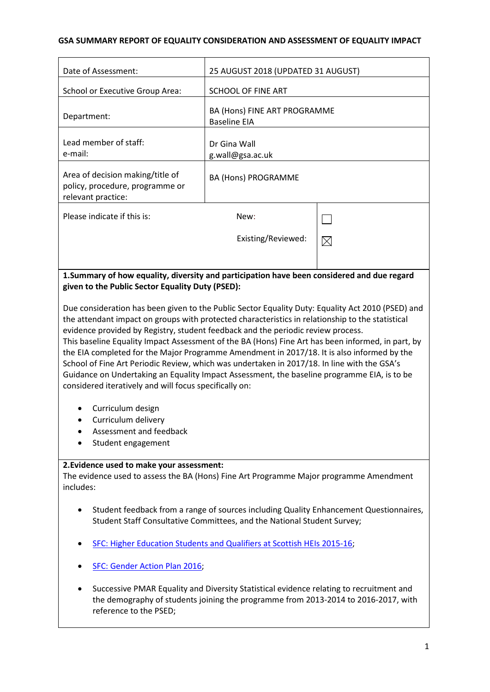## **GSA SUMMARY REPORT OF EQUALITY CONSIDERATION AND ASSESSMENT OF EQUALITY IMPACT**

| Date of Assessment:                                                                                                                             | 25 AUGUST 2018 (UPDATED 31 AUGUST)                  |             |
|-------------------------------------------------------------------------------------------------------------------------------------------------|-----------------------------------------------------|-------------|
| School or Executive Group Area:                                                                                                                 | SCHOOL OF FINE ART                                  |             |
| Department:                                                                                                                                     | BA (Hons) FINE ART PROGRAMME<br><b>Baseline EIA</b> |             |
| Lead member of staff:<br>e-mail:                                                                                                                | Dr Gina Wall<br>g.wall@gsa.ac.uk                    |             |
| Area of decision making/title of<br>policy, procedure, programme or<br>relevant practice:                                                       | <b>BA (Hons) PROGRAMME</b>                          |             |
| Please indicate if this is:                                                                                                                     | New:                                                |             |
|                                                                                                                                                 | Existing/Reviewed:                                  | $\boxtimes$ |
|                                                                                                                                                 |                                                     |             |
| 1. Summary of how equality, diversity and participation have been considered and due regard<br>given to the Public Sector Equality Duty (PSED): |                                                     |             |

Due consideration has been given to the Public Sector Equality Duty: Equality Act 2010 (PSED) and the attendant impact on groups with protected characteristics in relationship to the statistical evidence provided by Registry, student feedback and the periodic review process. This baseline Equality Impact Assessment of the BA (Hons) Fine Art has been informed, in part, by the EIA completed for the Major Programme Amendment in 2017/18. It is also informed by the School of Fine Art Periodic Review, which was undertaken in 2017/18. In line with the GSA's Guidance on Undertaking an Equality Impact Assessment, the baseline programme EIA, is to be considered iteratively and will focus specifically on:

- Curriculum design
- Curriculum delivery
- Assessment and feedback
- Student engagement

#### **2.Evidence used to make your assessment:**

The evidence used to assess the BA (Hons) Fine Art Programme Major programme Amendment includes:

- Student feedback from a range of sources including Quality Enhancement Questionnaires, Student Staff Consultative Committees, and the National Student Survey;
- [SFC: Higher Education Students and Qualifiers at Scottish HEIs 2015-16;](http://www.sfc.ac.uk/web/FILES/Statistical_publications_SFCST062017_HigherEducationStudentsandQualifiersatS/SFCST062017_HE_Students_and_Qualifiers_2015-16.pdf)
- **[SFC: Gender Action Plan 2016;](http://www.sfc.ac.uk/web/FILES/Corporate_publications_SFCCP052016_GenderActionPlan/SFCCP052016_Gender_Action_Plan.pdf)**
- Successive PMAR Equality and Diversity Statistical evidence relating to recruitment and the demography of students joining the programme from 2013-2014 to 2016-2017, with reference to the PSED;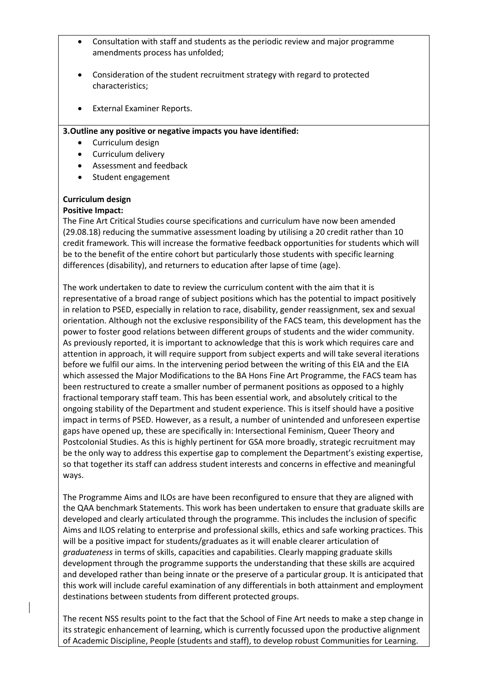- Consultation with staff and students as the periodic review and major programme amendments process has unfolded;
- Consideration of the student recruitment strategy with regard to protected characteristics;
- External Examiner Reports.

#### **3.Outline any positive or negative impacts you have identified:**

- Curriculum design
- Curriculum delivery
- Assessment and feedback
- Student engagement

#### **Curriculum design**

#### **Positive Impact:**

The Fine Art Critical Studies course specifications and curriculum have now been amended (29.08.18) reducing the summative assessment loading by utilising a 20 credit rather than 10 credit framework. This will increase the formative feedback opportunities for students which will be to the benefit of the entire cohort but particularly those students with specific learning differences (disability), and returners to education after lapse of time (age).

The work undertaken to date to review the curriculum content with the aim that it is representative of a broad range of subject positions which has the potential to impact positively in relation to PSED, especially in relation to race, disability, gender reassignment, sex and sexual orientation. Although not the exclusive responsibility of the FACS team, this development has the power to foster good relations between different groups of students and the wider community. As previously reported, it is important to acknowledge that this is work which requires care and attention in approach, it will require support from subject experts and will take several iterations before we fulfil our aims. In the intervening period between the writing of this EIA and the EIA which assessed the Major Modifications to the BA Hons Fine Art Programme, the FACS team has been restructured to create a smaller number of permanent positions as opposed to a highly fractional temporary staff team. This has been essential work, and absolutely critical to the ongoing stability of the Department and student experience. This is itself should have a positive impact in terms of PSED. However, as a result, a number of unintended and unforeseen expertise gaps have opened up, these are specifically in: Intersectional Feminism, Queer Theory and Postcolonial Studies. As this is highly pertinent for GSA more broadly, strategic recruitment may be the only way to address this expertise gap to complement the Department's existing expertise, so that together its staff can address student interests and concerns in effective and meaningful ways.

The Programme Aims and ILOs are have been reconfigured to ensure that they are aligned with the QAA benchmark Statements. This work has been undertaken to ensure that graduate skills are developed and clearly articulated through the programme. This includes the inclusion of specific Aims and ILOS relating to enterprise and professional skills, ethics and safe working practices. This will be a positive impact for students/graduates as it will enable clearer articulation of *graduateness* in terms of skills, capacities and capabilities. Clearly mapping graduate skills development through the programme supports the understanding that these skills are acquired and developed rather than being innate or the preserve of a particular group. It is anticipated that this work will include careful examination of any differentials in both attainment and employment destinations between students from different protected groups.

The recent NSS results point to the fact that the School of Fine Art needs to make a step change in its strategic enhancement of learning, which is currently focussed upon the productive alignment of Academic Discipline, People (students and staff), to develop robust Communities for Learning.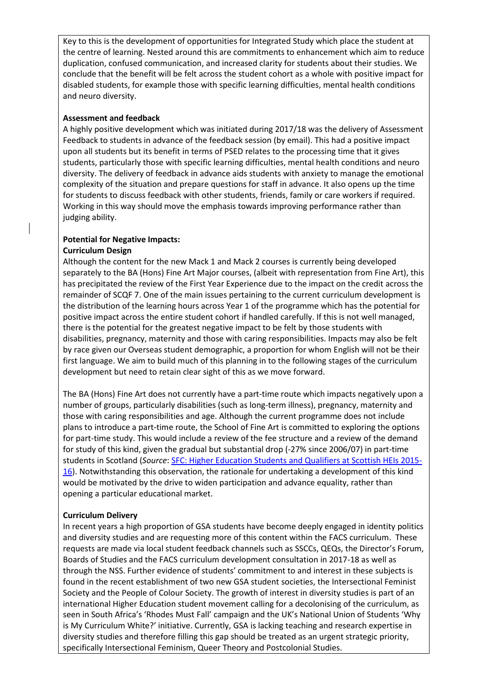Key to this is the development of opportunities for Integrated Study which place the student at the centre of learning. Nested around this are commitments to enhancement which aim to reduce duplication, confused communication, and increased clarity for students about their studies. We conclude that the benefit will be felt across the student cohort as a whole with positive impact for disabled students, for example those with specific learning difficulties, mental health conditions and neuro diversity.

## **Assessment and feedback**

A highly positive development which was initiated during 2017/18 was the delivery of Assessment Feedback to students in advance of the feedback session (by email). This had a positive impact upon all students but its benefit in terms of PSED relates to the processing time that it gives students, particularly those with specific learning difficulties, mental health conditions and neuro diversity. The delivery of feedback in advance aids students with anxiety to manage the emotional complexity of the situation and prepare questions for staff in advance. It also opens up the time for students to discuss feedback with other students, friends, family or care workers if required. Working in this way should move the emphasis towards improving performance rather than judging ability.

# **Potential for Negative Impacts:**

#### **Curriculum Design**

Although the content for the new Mack 1 and Mack 2 courses is currently being developed separately to the BA (Hons) Fine Art Major courses, (albeit with representation from Fine Art), this has precipitated the review of the First Year Experience due to the impact on the credit across the remainder of SCQF 7. One of the main issues pertaining to the current curriculum development is the distribution of the learning hours across Year 1 of the programme which has the potential for positive impact across the entire student cohort if handled carefully. If this is not well managed, there is the potential for the greatest negative impact to be felt by those students with disabilities, pregnancy, maternity and those with caring responsibilities. Impacts may also be felt by race given our Overseas student demographic, a proportion for whom English will not be their first language. We aim to build much of this planning in to the following stages of the curriculum development but need to retain clear sight of this as we move forward.

The BA (Hons) Fine Art does not currently have a part-time route which impacts negatively upon a number of groups, particularly disabilities (such as long-term illness), pregnancy, maternity and those with caring responsibilities and age. Although the current programme does not include plans to introduce a part-time route, the School of Fine Art is committed to exploring the options for part-time study. This would include a review of the fee structure and a review of the demand for study of this kind, given the gradual but substantial drop (-27% since 2006/07) in part-time students in Scotland (*Source*: [SFC: Higher Education Students and Qualifiers at Scottish HEIs 2015-](http://www.sfc.ac.uk/web/FILES/Statistical_publications_SFCST062017_HigherEducationStudentsandQualifiersatS/SFCST062017_HE_Students_and_Qualifiers_2015-16.pdf) [16\)](http://www.sfc.ac.uk/web/FILES/Statistical_publications_SFCST062017_HigherEducationStudentsandQualifiersatS/SFCST062017_HE_Students_and_Qualifiers_2015-16.pdf). Notwithstanding this observation, the rationale for undertaking a development of this kind would be motivated by the drive to widen participation and advance equality, rather than opening a particular educational market.

#### **Curriculum Delivery**

In recent years a high proportion of GSA students have become deeply engaged in identity politics and diversity studies and are requesting more of this content within the FACS curriculum. These requests are made via local student feedback channels such as SSCCs, QEQs, the Director's Forum, Boards of Studies and the FACS curriculum development consultation in 2017-18 as well as through the NSS. Further evidence of students' commitment to and interest in these subjects is found in the recent establishment of two new GSA student societies, the Intersectional Feminist Society and the People of Colour Society. The growth of interest in diversity studies is part of an international Higher Education student movement calling for a decolonising of the curriculum, as seen in South Africa's 'Rhodes Must Fall' campaign and the UK's National Union of Students 'Why is My Curriculum White?' initiative. Currently, GSA is lacking teaching and research expertise in diversity studies and therefore filling this gap should be treated as an urgent strategic priority, specifically Intersectional Feminism, Queer Theory and Postcolonial Studies.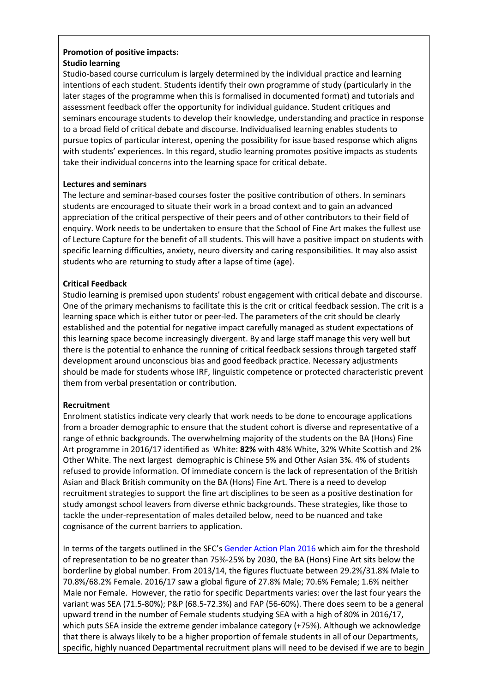## **Promotion of positive impacts: Studio learning**

Studio-based course curriculum is largely determined by the individual practice and learning intentions of each student. Students identify their own programme of study (particularly in the later stages of the programme when this is formalised in documented format) and tutorials and assessment feedback offer the opportunity for individual guidance. Student critiques and seminars encourage students to develop their knowledge, understanding and practice in response to a broad field of critical debate and discourse. Individualised learning enables students to pursue topics of particular interest, opening the possibility for issue based response which aligns with students' experiences. In this regard, studio learning promotes positive impacts as students take their individual concerns into the learning space for critical debate.

## **Lectures and seminars**

The lecture and seminar-based courses foster the positive contribution of others. In seminars students are encouraged to situate their work in a broad context and to gain an advanced appreciation of the critical perspective of their peers and of other contributors to their field of enquiry. Work needs to be undertaken to ensure that the School of Fine Art makes the fullest use of Lecture Capture for the benefit of all students. This will have a positive impact on students with specific learning difficulties, anxiety, neuro diversity and caring responsibilities. It may also assist students who are returning to study after a lapse of time (age).

## **Critical Feedback**

Studio learning is premised upon students' robust engagement with critical debate and discourse. One of the primary mechanisms to facilitate this is the crit or critical feedback session. The crit is a learning space which is either tutor or peer-led. The parameters of the crit should be clearly established and the potential for negative impact carefully managed as student expectations of this learning space become increasingly divergent. By and large staff manage this very well but there is the potential to enhance the running of critical feedback sessions through targeted staff development around unconscious bias and good feedback practice. Necessary adjustments should be made for students whose IRF, linguistic competence or protected characteristic prevent them from verbal presentation or contribution.

## **Recruitment**

Enrolment statistics indicate very clearly that work needs to be done to encourage applications from a broader demographic to ensure that the student cohort is diverse and representative of a range of ethnic backgrounds. The overwhelming majority of the students on the BA (Hons) Fine Art programme in 2016/17 identified as White: **82%** with 48% White, 32% White Scottish and 2% Other White. The next largest demographic is Chinese 5% and Other Asian 3%. 4% of students refused to provide information. Of immediate concern is the lack of representation of the British Asian and Black British community on the BA (Hons) Fine Art. There is a need to develop recruitment strategies to support the fine art disciplines to be seen as a positive destination for study amongst school leavers from diverse ethnic backgrounds. These strategies, like those to tackle the under-representation of males detailed below, need to be nuanced and take cognisance of the current barriers to application.

In terms of the targets outlined in the SFC'[s Gender Action Plan 2016](http://www.sfc.ac.uk/web/FILES/Corporate_publications_SFCCP052016_GenderActionPlan/SFCCP052016_Gender_Action_Plan.pdf) which aim for the threshold of representation to be no greater than 75%-25% by 2030, the BA (Hons) Fine Art sits below the borderline by global number. From 2013/14, the figures fluctuate between 29.2%/31.8% Male to 70.8%/68.2% Female. 2016/17 saw a global figure of 27.8% Male; 70.6% Female; 1.6% neither Male nor Female. However, the ratio for specific Departments varies: over the last four years the variant was SEA (71.5-80%); P&P (68.5-72.3%) and FAP (56-60%). There does seem to be a general upward trend in the number of Female students studying SEA with a high of 80% in 2016/17, which puts SEA inside the extreme gender imbalance category (+75%). Although we acknowledge that there is always likely to be a higher proportion of female students in all of our Departments, specific, highly nuanced Departmental recruitment plans will need to be devised if we are to begin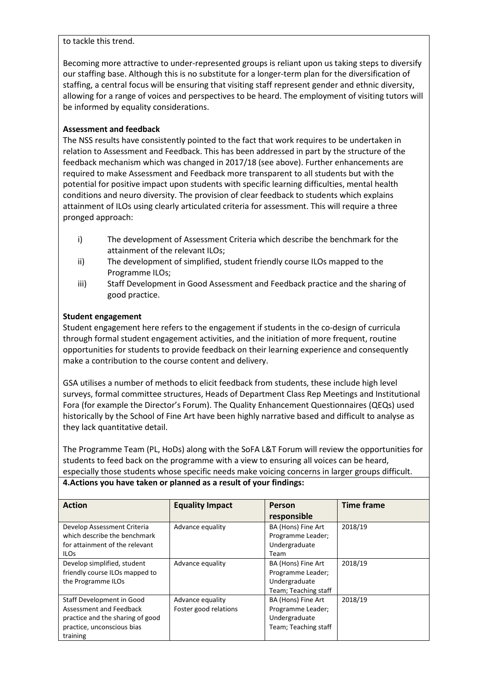#### to tackle this trend.

Becoming more attractive to under-represented groups is reliant upon us taking steps to diversify our staffing base. Although this is no substitute for a longer-term plan for the diversification of staffing, a central focus will be ensuring that visiting staff represent gender and ethnic diversity, allowing for a range of voices and perspectives to be heard. The employment of visiting tutors will be informed by equality considerations.

## **Assessment and feedback**

The NSS results have consistently pointed to the fact that work requires to be undertaken in relation to Assessment and Feedback. This has been addressed in part by the structure of the feedback mechanism which was changed in 2017/18 (see above). Further enhancements are required to make Assessment and Feedback more transparent to all students but with the potential for positive impact upon students with specific learning difficulties, mental health conditions and neuro diversity. The provision of clear feedback to students which explains attainment of ILOs using clearly articulated criteria for assessment. This will require a three pronged approach:

- i) The development of Assessment Criteria which describe the benchmark for the attainment of the relevant ILOs;
- ii) The development of simplified, student friendly course ILOs mapped to the Programme ILOs;
- iii) Staff Development in Good Assessment and Feedback practice and the sharing of good practice.

## **Student engagement**

Student engagement here refers to the engagement if students in the co-design of curricula through formal student engagement activities, and the initiation of more frequent, routine opportunities for students to provide feedback on their learning experience and consequently make a contribution to the course content and delivery.

GSA utilises a number of methods to elicit feedback from students, these include high level surveys, formal committee structures, Heads of Department Class Rep Meetings and Institutional Fora (for example the Director's Forum). The Quality Enhancement Questionnaires (QEQs) used historically by the School of Fine Art have been highly narrative based and difficult to analyse as they lack quantitative detail.

The Programme Team (PL, HoDs) along with the SoFA L&T Forum will review the opportunities for students to feed back on the programme with a view to ensuring all voices can be heard, especially those students whose specific needs make voicing concerns in larger groups difficult. **4.Actions you have taken or planned as a result of your findings:**

| <b>Action</b>                    | <b>Equality Impact</b> | Person               | Time frame |
|----------------------------------|------------------------|----------------------|------------|
|                                  |                        | responsible          |            |
| Develop Assessment Criteria      | Advance equality       | BA (Hons) Fine Art   | 2018/19    |
| which describe the benchmark     |                        | Programme Leader;    |            |
| for attainment of the relevant   |                        | Undergraduate        |            |
| <b>ILOS</b>                      |                        | Team                 |            |
| Develop simplified, student      | Advance equality       | BA (Hons) Fine Art   | 2018/19    |
| friendly course ILOs mapped to   |                        | Programme Leader;    |            |
| the Programme ILOs               |                        | Undergraduate        |            |
|                                  |                        | Team; Teaching staff |            |
| Staff Development in Good        | Advance equality       | BA (Hons) Fine Art   | 2018/19    |
| Assessment and Feedback          | Foster good relations  | Programme Leader;    |            |
| practice and the sharing of good |                        | Undergraduate        |            |
| practice, unconscious bias       |                        | Team; Teaching staff |            |
| training                         |                        |                      |            |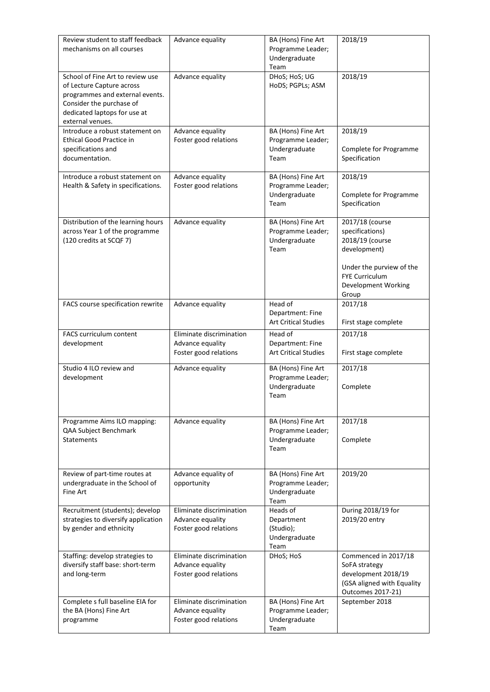| Review student to staff feedback<br>mechanisms on all courses                                                                                                                    | Advance equality                                                      | BA (Hons) Fine Art<br>Programme Leader;<br>Undergraduate<br>Team | 2018/19                                                                                                                                                    |
|----------------------------------------------------------------------------------------------------------------------------------------------------------------------------------|-----------------------------------------------------------------------|------------------------------------------------------------------|------------------------------------------------------------------------------------------------------------------------------------------------------------|
| School of Fine Art to review use<br>of Lecture Capture across<br>programmes and external events.<br>Consider the purchase of<br>dedicated laptops for use at<br>external venues. | Advance equality                                                      | DHoS; HoS; UG<br>HoDS; PGPLs; ASM                                | 2018/19                                                                                                                                                    |
| Introduce a robust statement on<br><b>Ethical Good Practice in</b><br>specifications and<br>documentation.                                                                       | Advance equality<br>Foster good relations                             | BA (Hons) Fine Art<br>Programme Leader;<br>Undergraduate<br>Team | 2018/19<br>Complete for Programme<br>Specification                                                                                                         |
| Introduce a robust statement on<br>Health & Safety in specifications.                                                                                                            | Advance equality<br>Foster good relations                             | BA (Hons) Fine Art<br>Programme Leader;<br>Undergraduate<br>Team | 2018/19<br>Complete for Programme<br>Specification                                                                                                         |
| Distribution of the learning hours<br>across Year 1 of the programme<br>(120 credits at SCQF 7)                                                                                  | Advance equality                                                      | BA (Hons) Fine Art<br>Programme Leader;<br>Undergraduate<br>Team | 2017/18 (course<br>specifications)<br>2018/19 (course<br>development)<br>Under the purview of the<br><b>FYE Curriculum</b><br>Development Working<br>Group |
| FACS course specification rewrite                                                                                                                                                | Advance equality                                                      | Head of<br>Department: Fine<br><b>Art Critical Studies</b>       | 2017/18<br>First stage complete                                                                                                                            |
| FACS curriculum content<br>development                                                                                                                                           | Eliminate discrimination<br>Advance equality<br>Foster good relations | Head of<br>Department: Fine<br><b>Art Critical Studies</b>       | 2017/18<br>First stage complete                                                                                                                            |
| Studio 4 ILO review and<br>development                                                                                                                                           | Advance equality                                                      | BA (Hons) Fine Art<br>Programme Leader;<br>Undergraduate<br>Team | 2017/18<br>Complete                                                                                                                                        |
| Programme Aims ILO mapping:<br>QAA Subject Benchmark<br><b>Statements</b>                                                                                                        | Advance equality                                                      | BA (Hons) Fine Art<br>Programme Leader;<br>Undergraduate<br>Team | 2017/18<br>Complete                                                                                                                                        |
| Review of part-time routes at<br>undergraduate in the School of<br>Fine Art                                                                                                      | Advance equality of<br>opportunity                                    | BA (Hons) Fine Art<br>Programme Leader;<br>Undergraduate<br>Team | 2019/20                                                                                                                                                    |
| Recruitment (students); develop<br>strategies to diversify application<br>by gender and ethnicity                                                                                | Eliminate discrimination<br>Advance equality<br>Foster good relations | Heads of<br>Department<br>(Studio);<br>Undergraduate<br>Team     | During 2018/19 for<br>2019/20 entry                                                                                                                        |
| Staffing: develop strategies to<br>diversify staff base: short-term<br>and long-term                                                                                             | Eliminate discrimination<br>Advance equality<br>Foster good relations | DHoS; HoS                                                        | Commenced in 2017/18<br>SoFA strategy<br>development 2018/19<br>(GSA aligned with Equality<br>Outcomes 2017-21)                                            |
| Complete s full baseline EIA for<br>the BA (Hons) Fine Art<br>programme                                                                                                          | Eliminate discrimination<br>Advance equality<br>Foster good relations | BA (Hons) Fine Art<br>Programme Leader;<br>Undergraduate<br>Team | September 2018                                                                                                                                             |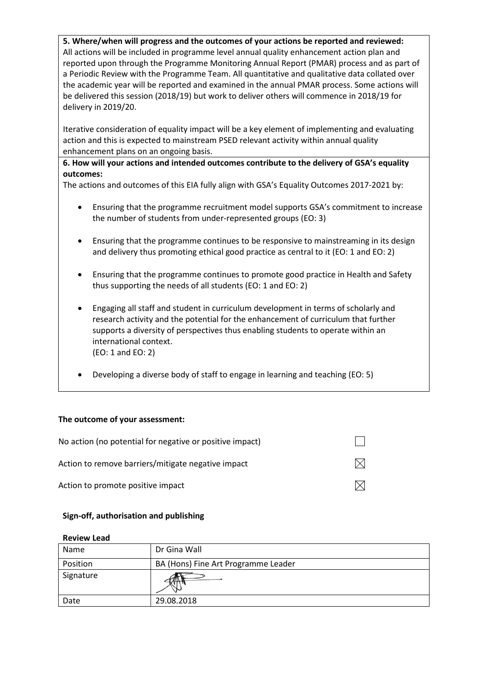**5. Where/when will progress and the outcomes of your actions be reported and reviewed:** All actions will be included in programme level annual quality enhancement action plan and reported upon through the Programme Monitoring Annual Report (PMAR) process and as part of a Periodic Review with the Programme Team. All quantitative and qualitative data collated over the academic year will be reported and examined in the annual PMAR process. Some actions will be delivered this session (2018/19) but work to deliver others will commence in 2018/19 for delivery in 2019/20.

Iterative consideration of equality impact will be a key element of implementing and evaluating action and this is expected to mainstream PSED relevant activity within annual quality enhancement plans on an ongoing basis.

**6. How will your actions and intended outcomes contribute to the delivery of GSA's equality outcomes:**

The actions and outcomes of this EIA fully align with GSA's Equality Outcomes 2017-2021 by:

- Ensuring that the programme recruitment model supports GSA's commitment to increase the number of students from under-represented groups (EO: 3)
- Ensuring that the programme continues to be responsive to mainstreaming in its design and delivery thus promoting ethical good practice as central to it (EO: 1 and EO: 2)
- Ensuring that the programme continues to promote good practice in Health and Safety thus supporting the needs of all students (EO: 1 and EO: 2)
- Engaging all staff and student in curriculum development in terms of scholarly and research activity and the potential for the enhancement of curriculum that further supports a diversity of perspectives thus enabling students to operate within an international context. (EO: 1 and EO: 2)
- Developing a diverse body of staff to engage in learning and teaching (EO: 5)

## **The outcome of your assessment:**

| No action (no potential for negative or positive impact) |              |
|----------------------------------------------------------|--------------|
| Action to remove barriers/mitigate negative impact       | $\mathbb{X}$ |
| Action to promote positive impact                        |              |

#### **Sign-off, authorisation and publishing**

| Name      | Dr Gina Wall                        |
|-----------|-------------------------------------|
| Position  | BA (Hons) Fine Art Programme Leader |
| Signature |                                     |
| Date      | 29.08.2018                          |